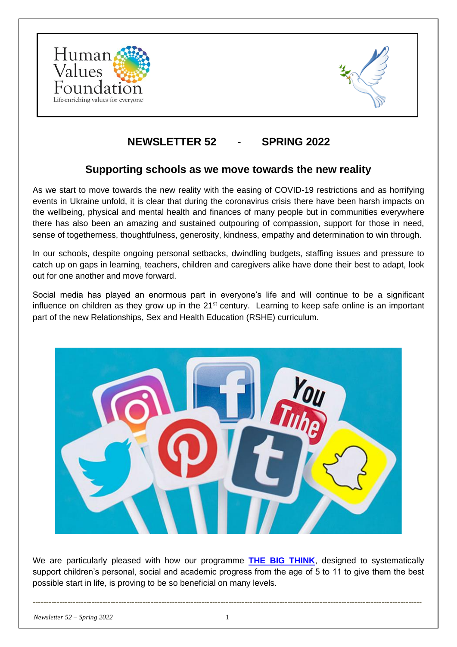



# **NEWSLETTER 52 - SPRING 2022**

#### **Supporting schools as we move towards the new reality**

As we start to move towards the new reality with the easing of COVID-19 restrictions and as horrifying events in Ukraine unfold, it is clear that during the coronavirus crisis there have been harsh impacts on the wellbeing, physical and mental health and finances of many people but in communities everywhere there has also been an amazing and sustained outpouring of compassion, support for those in need, sense of togetherness, thoughtfulness, generosity, kindness, empathy and determination to win through.

In our schools, despite ongoing personal setbacks, dwindling budgets, staffing issues and pressure to catch up on gaps in learning, teachers, children and caregivers alike have done their best to adapt, look out for one another and move forward.

Social media has played an enormous part in everyone's life and will continue to be a significant influence on children as they grow up in the  $21<sup>st</sup>$  century. Learning to keep safe online is an important part of the new Relationships, Sex and Health Education (RSHE) curriculum.



We are particularly pleased with how our programme **[THE BIG THINK](https://www.the-big-think.org/)**, designed to systematically support children's personal, social and academic progress from the age of 5 to 11 to give them the best possible start in life, is proving to be so beneficial on many levels.

**-------------------------------------------------------------------------------------------------------------------------------------------------**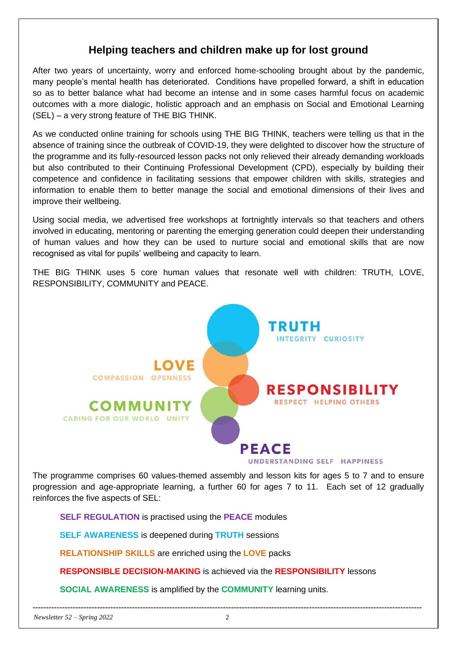#### **Helping teachers and children make up for lost ground**

After two years of uncertainty, worry and enforced home-schooling brought about by the pandemic, many people's mental health has deteriorated. Conditions have propelled forward, a shift in education so as to better balance what had become an intense and in some cases harmful focus on academic outcomes with a more dialogic, holistic approach and an emphasis on Social and Emotional Learning (SEL) – a very strong feature of THE BIG THINK.

As we conducted online training for schools using THE BIG THINK, teachers were telling us that in the absence of training since the outbreak of COVID-19, they were delighted to discover how the structure of the programme and its fully-resourced lesson packs not only relieved their already demanding workloads but also contributed to their Continuing Professional Development (CPD), especially by building their competence and confidence in facilitating sessions that empower children with skills, strategies and information to enable them to better manage the social and emotional dimensions of their lives and improve their wellbeing.

Using social media, we advertised free workshops at fortnightly intervals so that teachers and others involved in educating, mentoring or parenting the emerging generation could deepen their understanding of human values and how they can be used to nurture social and emotional skills that are now recognised as vital for pupils' wellbeing and capacity to learn.

THE BIG THINK uses 5 core human values that resonate well with children: TRUTH, LOVE, RESPONSIBILITY, COMMUNITY and PEACE.



The programme comprises 60 values-themed assembly and lesson kits for ages 5 to 7 and to ensure progression and age-appropriate learning, a further 60 for ages 7 to 11. Each set of 12 gradually reinforces the five aspects of SEL:

**SELF REGULATION** is practised using the **PEACE** modules

**SELF AWARENESS** is deepened during **TRUTH** sessions

**RELATIONSHIP SKILLS** are enriched using the **LOVE** packs

**RESPONSIBLE DECISION-MAKING** is achieved via the **RESPONSIBILITY** lessons

**SOCIAL AWARENESS** is amplified by the **COMMUNITY** learning units.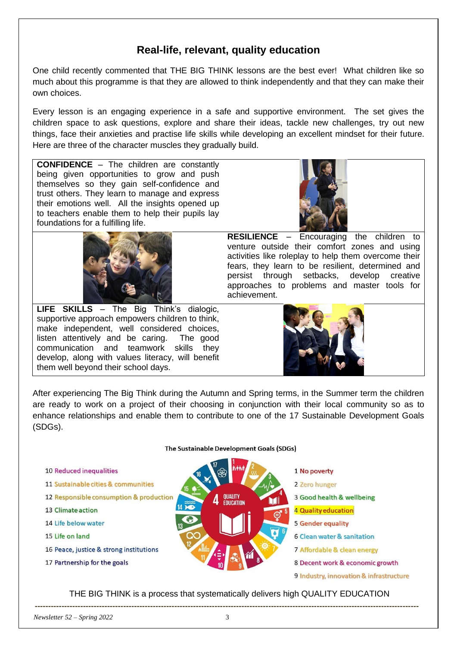## **Real-life, relevant, quality education**

One child recently commented that THE BIG THINK lessons are the best ever! What children like so much about this programme is that they are allowed to think independently and that they can make their own choices.

Every lesson is an engaging experience in a safe and supportive environment. The set gives the children space to ask questions, explore and share their ideas, tackle new challenges, try out new things, face their anxieties and practise life skills while developing an excellent mindset for their future. Here are three of the character muscles they gradually build.

**CONFIDENCE** – The children are constantly being given opportunities to grow and push themselves so they gain self-confidence and trust others. They learn to manage and express their emotions well. All the insights opened up to teachers enable them to help their pupils lay foundations for a fulfilling life.



**LIFE SKILLS** – The Big Think's dialogic, supportive approach empowers children to think, make independent, well considered choices, listen attentively and be caring. The good communication and teamwork skills they develop, along with values literacy, will benefit them well beyond their school days.



**RESILIENCE** – Encouraging the children venture outside their comfort zones and using activities like roleplay to help them overcome their fears, they learn to be resilient, determined and persist through setbacks, develop creative approaches to problems and master tools for achievement.



After experiencing The Big Think during the Autumn and Spring terms, in the Summer term the children are ready to work on a project of their choosing in conjunction with their local community so as to enhance relationships and enable them to contribute to one of the 17 Sustainable Development Goals (SDGs).

The Sustainable Development Goals (SDGs)



THE BIG THINK is a process that systematically delivers high QUALITY EDUCATION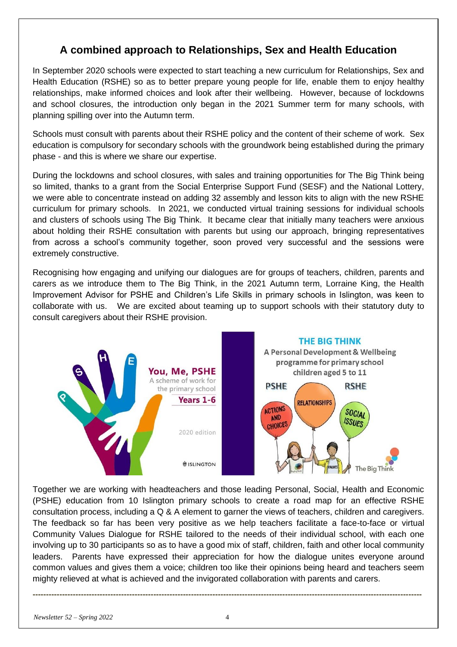### **A combined approach to Relationships, Sex and Health Education**

In September 2020 schools were expected to start teaching a new curriculum for Relationships, Sex and Health Education (RSHE) so as to better prepare young people for life, enable them to enjoy healthy relationships, make informed choices and look after their wellbeing. However, because of lockdowns and school closures, the introduction only began in the 2021 Summer term for many schools, with planning spilling over into the Autumn term.

Schools must consult with parents about their RSHE policy and the content of their scheme of work. Sex education is compulsory for secondary schools with the groundwork being established during the primary phase - and this is where we share our expertise.

During the lockdowns and school closures, with sales and training opportunities for The Big Think being so limited, thanks to a grant from the Social Enterprise Support Fund (SESF) and the National Lottery, we were able to concentrate instead on adding 32 assembly and lesson kits to align with the new RSHE curriculum for primary schools. In 2021, we conducted virtual training sessions for individual schools and clusters of schools using The Big Think. It became clear that initially many teachers were anxious about holding their RSHE consultation with parents but using our approach, bringing representatives from across a school's community together, soon proved very successful and the sessions were extremely constructive.

Recognising how engaging and unifying our dialogues are for groups of teachers, children, parents and carers as we introduce them to The Big Think, in the 2021 Autumn term, Lorraine King, the Health Improvement Advisor for PSHE and Children's Life Skills in primary schools in Islington, was keen to collaborate with us. We are excited about teaming up to support schools with their statutory duty to consult caregivers about their RSHE provision.



Together we are working with headteachers and those leading Personal, Social, Health and Economic (PSHE) education from 10 Islington primary schools to create a road map for an effective RSHE consultation process, including a Q & A element to garner the views of teachers, children and caregivers. The feedback so far has been very positive as we help teachers facilitate a face-to-face or virtual Community Values Dialogue for RSHE tailored to the needs of their individual school, with each one involving up to 30 participants so as to have a good mix of staff, children, faith and other local community leaders. Parents have expressed their appreciation for how the dialogue unites everyone around common values and gives them a voice; children too like their opinions being heard and teachers seem mighty relieved at what is achieved and the invigorated collaboration with parents and carers.

**-------------------------------------------------------------------------------------------------------------------------------------------------**